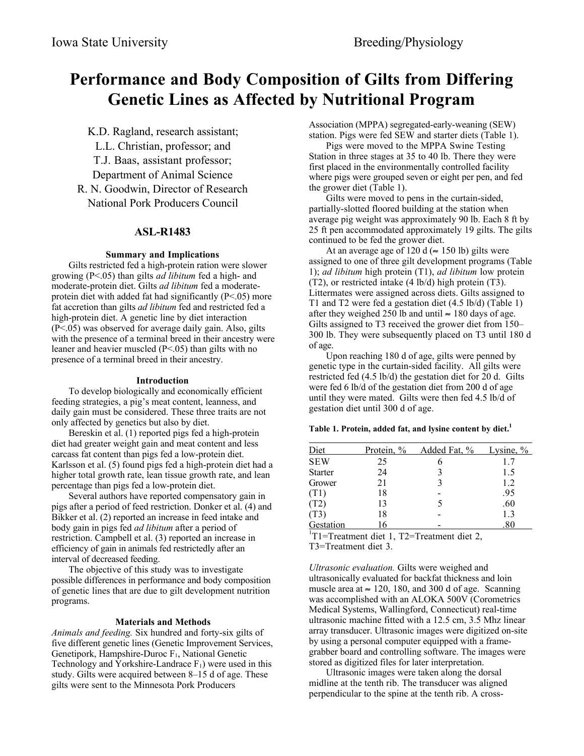# **Performance and Body Composition of Gilts from Differing Genetic Lines as Affected by Nutritional Program**

K.D. Ragland, research assistant; L.L. Christian, professor; and T.J. Baas, assistant professor; Department of Animal Science R. N. Goodwin, Director of Research National Pork Producers Council

# **ASL-R1483**

# **Summary and Implications**

Gilts restricted fed a high-protein ration were slower growing (P<.05) than gilts *ad libitum* fed a high- and moderate-protein diet. Gilts *ad libitum* fed a moderateprotein diet with added fat had significantly  $(P<.05)$  more fat accretion than gilts *ad libitum* fed and restricted fed a high-protein diet. A genetic line by diet interaction (P<.05) was observed for average daily gain. Also, gilts with the presence of a terminal breed in their ancestry were leaner and heavier muscled (P<.05) than gilts with no presence of a terminal breed in their ancestry.

# **Introduction**

To develop biologically and economically efficient feeding strategies, a pig's meat content, leanness, and daily gain must be considered. These three traits are not only affected by genetics but also by diet.

Bereskin et al. (1) reported pigs fed a high-protein diet had greater weight gain and meat content and less carcass fat content than pigs fed a low-protein diet. Karlsson et al. (5) found pigs fed a high-protein diet had a higher total growth rate, lean tissue growth rate, and lean percentage than pigs fed a low-protein diet.

Several authors have reported compensatory gain in pigs after a period of feed restriction. Donker et al. (4) and Bikker et al. (2) reported an increase in feed intake and body gain in pigs fed *ad libitum* after a period of restriction. Campbell et al. (3) reported an increase in efficiency of gain in animals fed restrictedly after an interval of decreased feeding.

The objective of this study was to investigate possible differences in performance and body composition of genetic lines that are due to gilt development nutrition programs.

# **Materials and Methods**

*Animals and feeding.* Six hundred and forty-six gilts of five different genetic lines (Genetic Improvement Services, Genetipork, Hampshire-Duroc F<sub>1</sub>, National Genetic Technology and Yorkshire-Landrace  $F_1$ ) were used in this study. Gilts were acquired between 8–15 d of age. These gilts were sent to the Minnesota Pork Producers

Association (MPPA) segregated-early-weaning (SEW) station. Pigs were fed SEW and starter diets (Table 1).

Pigs were moved to the MPPA Swine Testing Station in three stages at 35 to 40 lb. There they were first placed in the environmentally controlled facility where pigs were grouped seven or eight per pen, and fed the grower diet (Table 1).

Gilts were moved to pens in the curtain-sided, partially-slotted floored building at the station when average pig weight was approximately 90 lb. Each 8 ft by 25 ft pen accommodated approximately 19 gilts. The gilts continued to be fed the grower diet.

At an average age of 120 d ( $\approx$  150 lb) gilts were assigned to one of three gilt development programs (Table 1); *ad libitum* high protein (T1), *ad libitum* low protein (T2), or restricted intake (4 lb/d) high protein (T3). Littermates were assigned across diets. Gilts assigned to T1 and T2 were fed a gestation diet (4.5 lb/d) (Table 1) after they weighed 250 lb and until  $\approx$  180 days of age. Gilts assigned to T3 received the grower diet from 150– 300 lb. They were subsequently placed on T3 until 180 d of age.

Upon reaching 180 d of age, gilts were penned by genetic type in the curtain-sided facility. All gilts were restricted fed (4.5 lb/d) the gestation diet for 20 d. Gilts were fed 6 lb/d of the gestation diet from 200 d of age until they were mated. Gilts were then fed 4.5 lb/d of gestation diet until 300 d of age.

# **Table 1. Protein, added fat, and lysine content by diet.1**

| Diet           | <u>Protein, %</u> | Added Fat, %                                 | Lysine, $\%$ |
|----------------|-------------------|----------------------------------------------|--------------|
| <b>SEW</b>     | 25                |                                              | 1.7          |
| <b>Starter</b> | 24                |                                              | 1.5          |
| Grower         | 21                |                                              | 1.2          |
| (T1)           | 18                |                                              | .95          |
| (T2)           | 13                |                                              | .60          |
| (T3)           | 18                |                                              | 1.3          |
| Gestation      | 16                |                                              | .80          |
|                |                   | $T1$ =Treatment diet 1, T2=Treatment diet 2, |              |

T3=Treatment diet 3.

*Ultrasonic evaluation.* Gilts were weighed and ultrasonically evaluated for backfat thickness and loin muscle area at  $\approx$  120, 180, and 300 d of age. Scanning was accomplished with an ALOKA 500V (Corometrics Medical Systems, Wallingford, Connecticut) real-time ultrasonic machine fitted with a 12.5 cm, 3.5 Mhz linear array transducer. Ultrasonic images were digitized on-site by using a personal computer equipped with a framegrabber board and controlling software. The images were stored as digitized files for later interpretation.

Ultrasonic images were taken along the dorsal midline at the tenth rib. The transducer was aligned perpendicular to the spine at the tenth rib. A cross-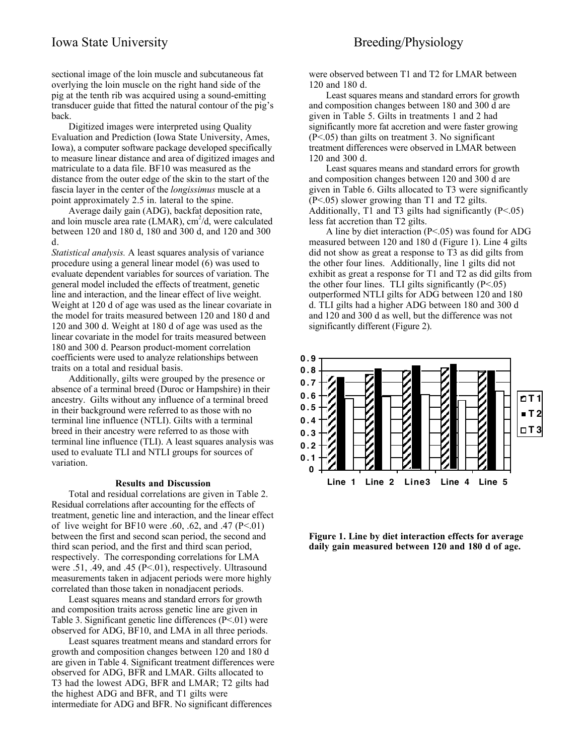# Iowa State University Breeding/Physiology

sectional image of the loin muscle and subcutaneous fat overlying the loin muscle on the right hand side of the pig at the tenth rib was acquired using a sound-emitting transducer guide that fitted the natural contour of the pig's back.

Digitized images were interpreted using Quality Evaluation and Prediction (Iowa State University, Ames, Iowa), a computer software package developed specifically to measure linear distance and area of digitized images and matriculate to a data file. BF10 was measured as the distance from the outer edge of the skin to the start of the fascia layer in the center of the *longissimus* muscle at a point approximately 2.5 in. lateral to the spine.

Average daily gain (ADG), backfat deposition rate, and loin muscle area rate (LMAR),  $\text{cm}^2/\text{d}$ , were calculated between 120 and 180 d, 180 and 300 d, and 120 and 300 d.

*Statistical analysis.* A least squares analysis of variance procedure using a general linear model (6) was used to evaluate dependent variables for sources of variation. The general model included the effects of treatment, genetic line and interaction, and the linear effect of live weight. Weight at 120 d of age was used as the linear covariate in the model for traits measured between 120 and 180 d and 120 and 300 d. Weight at 180 d of age was used as the linear covariate in the model for traits measured between 180 and 300 d. Pearson product-moment correlation coefficients were used to analyze relationships between traits on a total and residual basis.

Additionally, gilts were grouped by the presence or absence of a terminal breed (Duroc or Hampshire) in their ancestry. Gilts without any influence of a terminal breed in their background were referred to as those with no terminal line influence (NTLI). Gilts with a terminal breed in their ancestry were referred to as those with terminal line influence (TLI). A least squares analysis was used to evaluate TLI and NTLI groups for sources of variation.

#### **Results and Discussion**

Total and residual correlations are given in Table 2. Residual correlations after accounting for the effects of treatment, genetic line and interaction, and the linear effect of live weight for BF10 were .60, .62, and .47 ( $P<.01$ ) between the first and second scan period, the second and third scan period, and the first and third scan period, respectively. The corresponding correlations for LMA were .51, .49, and .45 (P<.01), respectively. Ultrasound measurements taken in adjacent periods were more highly correlated than those taken in nonadjacent periods.

Least squares means and standard errors for growth and composition traits across genetic line are given in Table 3. Significant genetic line differences (P<.01) were observed for ADG, BF10, and LMA in all three periods.

Least squares treatment means and standard errors for growth and composition changes between 120 and 180 d are given in Table 4. Significant treatment differences were observed for ADG, BFR and LMAR. Gilts allocated to T3 had the lowest ADG, BFR and LMAR; T2 gilts had the highest ADG and BFR, and T1 gilts were intermediate for ADG and BFR. No significant differences

were observed between T1 and T2 for LMAR between 120 and 180 d.

Least squares means and standard errors for growth and composition changes between 180 and 300 d are given in Table 5. Gilts in treatments 1 and 2 had significantly more fat accretion and were faster growing (P<.05) than gilts on treatment 3. No significant treatment differences were observed in LMAR between 120 and 300 d.

Least squares means and standard errors for growth and composition changes between 120 and 300 d are given in Table 6. Gilts allocated to T3 were significantly  $(P<.05)$  slower growing than T1 and T2 gilts. Additionally, T1 and T3 gilts had significantly  $(P<.05)$ less fat accretion than T2 gilts.

A line by diet interaction (P<.05) was found for ADG measured between 120 and 180 d (Figure 1). Line 4 gilts did not show as great a response to T3 as did gilts from the other four lines. Additionally, line 1 gilts did not exhibit as great a response for T1 and T2 as did gilts from the other four lines. TLI gilts significantly  $(P<.05)$ outperformed NTLI gilts for ADG between 120 and 180 d. TLI gilts had a higher ADG between 180 and 300 d and 120 and 300 d as well, but the difference was not significantly different (Figure 2).



**Figure 1. Line by diet interaction effects for average daily gain measured between 120 and 180 d of age.**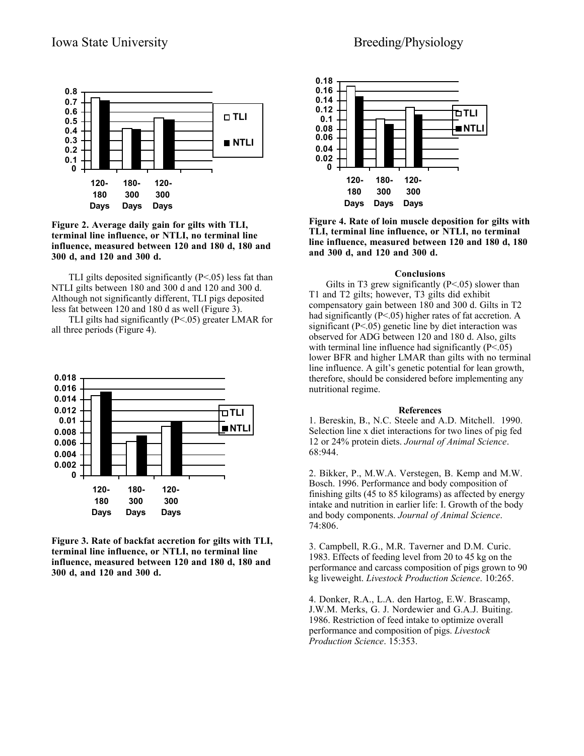

**Figure 2. Average daily gain for gilts with TLI, terminal line influence, or NTLI, no terminal line influence, measured between 120 and 180 d, 180 and 300 d, and 120 and 300 d.**

TLI gilts deposited significantly  $(P<.05)$  less fat than NTLI gilts between 180 and 300 d and 120 and 300 d. Although not significantly different, TLI pigs deposited less fat between 120 and 180 d as well (Figure 3).

 TLI gilts had significantly (P<.05) greater LMAR for all three periods (Figure 4).



**Figure 3. Rate of backfat accretion for gilts with TLI, terminal line influence, or NTLI, no terminal line influence, measured between 120 and 180 d, 180 and 300 d, and 120 and 300 d.**



**Figure 4. Rate of loin muscle deposition for gilts with TLI, terminal line influence, or NTLI, no terminal line influence, measured between 120 and 180 d, 180 and 300 d, and 120 and 300 d.**

### **Conclusions**

Gilts in T3 grew significantly  $(P<.05)$  slower than T1 and T2 gilts; however, T3 gilts did exhibit compensatory gain between 180 and 300 d. Gilts in T2 had significantly (P<.05) higher rates of fat accretion. A significant  $(P<.05)$  genetic line by diet interaction was observed for ADG between 120 and 180 d. Also, gilts with terminal line influence had significantly  $(P<.05)$ lower BFR and higher LMAR than gilts with no terminal line influence. A gilt's genetic potential for lean growth, therefore, should be considered before implementing any nutritional regime.

#### **References**

1. Bereskin, B., N.C. Steele and A.D. Mitchell. 1990. Selection line x diet interactions for two lines of pig fed 12 or 24% protein diets. *Journal of Animal Science*. 68:944.

2. Bikker, P., M.W.A. Verstegen, B. Kemp and M.W. Bosch. 1996. Performance and body composition of finishing gilts (45 to 85 kilograms) as affected by energy intake and nutrition in earlier life: I. Growth of the body and body components. *Journal of Animal Science*. 74:806.

3. Campbell, R.G., M.R. Taverner and D.M. Curic. 1983. Effects of feeding level from 20 to 45 kg on the performance and carcass composition of pigs grown to 90 kg liveweight. *Livestock Production Science*. 10:265.

4. Donker, R.A., L.A. den Hartog, E.W. Brascamp, J.W.M. Merks, G. J. Nordewier and G.A.J. Buiting. 1986. Restriction of feed intake to optimize overall performance and composition of pigs. *Livestock Production Science*. 15:353.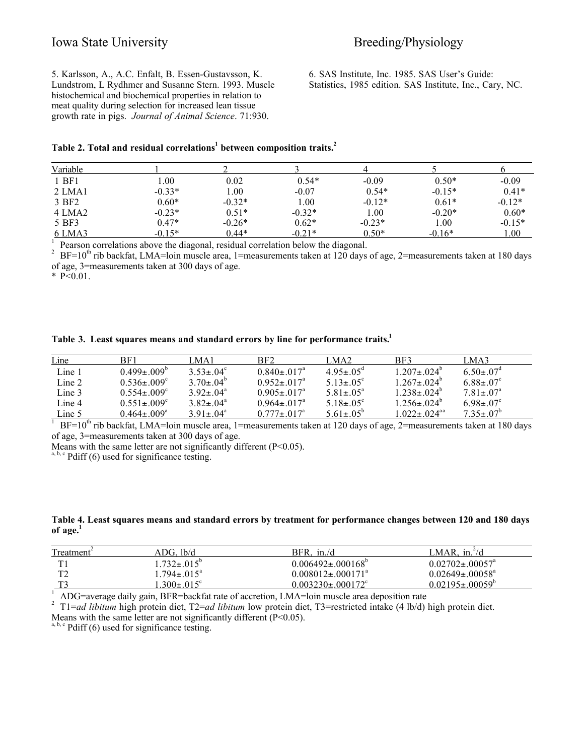5. Karlsson, A., A.C. Enfalt, B. Essen-Gustavsson, K. Lundstrom, L Rydhmer and Susanne Stern. 1993. Muscle histochemical and biochemical properties in relation to meat quality during selection for increased lean tissue growth rate in pigs. *Journal of Animal Science*. 71:930.

6. SAS Institute, Inc. 1985. SAS User's Guide: Statistics, 1985 edition. SAS Institute, Inc., Cary, NC.

# **Table 2. Total and residual correlations<sup>1</sup> between composition traits.<sup>2</sup>**

| Variable |          |          |          |          |          |          |
|----------|----------|----------|----------|----------|----------|----------|
| 1 BF1    | .00.     | 0.02     | $0.54*$  | $-0.09$  | $0.50*$  | $-0.09$  |
| 2 LMA1   | $-0.33*$ | 1.00     | $-0.07$  | $0.54*$  | $-0.15*$ | $0.41*$  |
| 3 BF2    | $0.60*$  | $-0.32*$ | 1.00     | $-0.12*$ | $0.61*$  | $-0.12*$ |
| 4 LMA2   | $-0.23*$ | $0.51*$  | $-0.32*$ | 1.00     | $-0.20*$ | $0.60*$  |
| 5 BF3    | $0.47*$  | $-0.26*$ | $0.62*$  | $-0.23*$ | 1.00     | $-0.15*$ |
| 6 LMA3   | $-0.15*$ | $0.44*$  | $-0.21*$ | $0.50*$  | $-0.16*$ | 1.00     |

Pearson correlations above the diagonal, residual correlation below the diagonal.<br><sup>2</sup> BF=10<sup>th</sup> rib backfat, LMA=loin muscle area, 1=measurements taken at 120 days of age, 2=measurements taken at 180 days of age, 3=measurements taken at 300 days of age.

\*  $P<0.01$ .

|  |  | Table 3. Least squares means and standard errors by line for performance traits. |
|--|--|----------------------------------------------------------------------------------|
|  |  |                                                                                  |

| Line   | BF1                           | LMA1                        | BF <sub>2</sub>                | LMA <sub>2</sub>            | BF3                            | LMA3                        |
|--------|-------------------------------|-----------------------------|--------------------------------|-----------------------------|--------------------------------|-----------------------------|
| Line 1 | $0.499 \pm 0.009^b$           | $3.53 \pm 0.4$ °            | $0.840 \pm 0.017$ <sup>a</sup> | $4.95 \pm 0.5$ <sup>d</sup> | $1.207 \pm .024^b$             | $6.50 \pm 0.7$ <sup>d</sup> |
| Line 2 | $0.536 \pm 0.09$ <sup>c</sup> | $3.70\pm.04^b$              | $0.952 \pm 0.17$ <sup>a</sup>  | $5.13 \pm 0.5$ °            | $1.267 \pm .024^b$             | $6.88 \pm .07^c$            |
| Line 3 | $0.554 \pm 0.09$ <sup>c</sup> | $3.92 \pm .04^{\circ}$      | $0.905 \pm 0.017$ <sup>a</sup> | $5.81 \pm 0.5^{\circ}$      | $1.238 \pm .024^{\circ}$       | $7.81 \pm .07$ <sup>a</sup> |
| Line 4 | $0.551 \pm 0.09$ <sup>c</sup> | $3.82 \pm .04^a$            | $0.964 \pm 017^{\circ}$        | $5.18 \pm 0.5$ <sup>c</sup> | $1.256 \pm .024^b$             | $6.98 \pm .07$ °            |
| Line 5 | $0.464 \pm 0.09$ <sup>a</sup> | $3.91 \pm 0.4$ <sup>a</sup> | $0.777 + 0.17a$                | $5.61 \pm 0.5^{b}$          | $1.022 \pm 0.24$ <sup>aa</sup> | $7.35 \pm 0.7^{b}$          |

<sup>1</sup> BF=10<sup>th</sup> rib backfat, LMA=loin muscle area, 1=measurements taken at 120 days of age, 2=measurements taken at 180 days of age, 3=measurements taken at 300 days of age.

Means with the same letter are not significantly different (P<0.05).

 $a, b, c$  Pdiff (6) used for significance testing.

# **Table 4. Least squares means and standard errors by treatment for performance changes between 120 and 180 days of age.<sup>1</sup>**

| Treatment <sup>4</sup> | ADG. lb/d                  | $BFR$ , in./d                       | LMAR. in. $\frac{2}{d}$           |
|------------------------|----------------------------|-------------------------------------|-----------------------------------|
| TT1                    | $1.732 \pm .015^{\circ}$   | $0.006492 \pm 0.00168$ <sup>o</sup> | $0.02702 \pm 0.0057$ <sup>a</sup> |
| T <sub>2</sub>         | $1.794 \pm 0.015^{\circ}$  | $0.008012 \pm 0.00171^{\circ}$      | $0.02649 \pm 0.0058$ <sup>a</sup> |
| ጥን                     | .300 $\pm$ .015 $^{\circ}$ | $0.003230 \pm 0.00172^{\circ}$      | $0.02195 \pm 0.0059$              |
| $\sqrt{2}$             | P P P P 1 10.000           |                                     |                                   |

<sup>1</sup> ADG=average daily gain, BFR=backfat rate of accretion, LMA=loin muscle area deposition rate<br><sup>2</sup> T1=cd libitum bigh protein diet. T2=cd libitum low protein diet. T3=restricted intake (4 lb/d)

T1=*ad libitum* high protein diet, T2=*ad libitum* low protein diet, T3=restricted intake (4 lb/d) high protein diet.

Means with the same letter are not significantly different (P<0.05).

 $a, b, c$  Pdiff (6) used for significance testing.